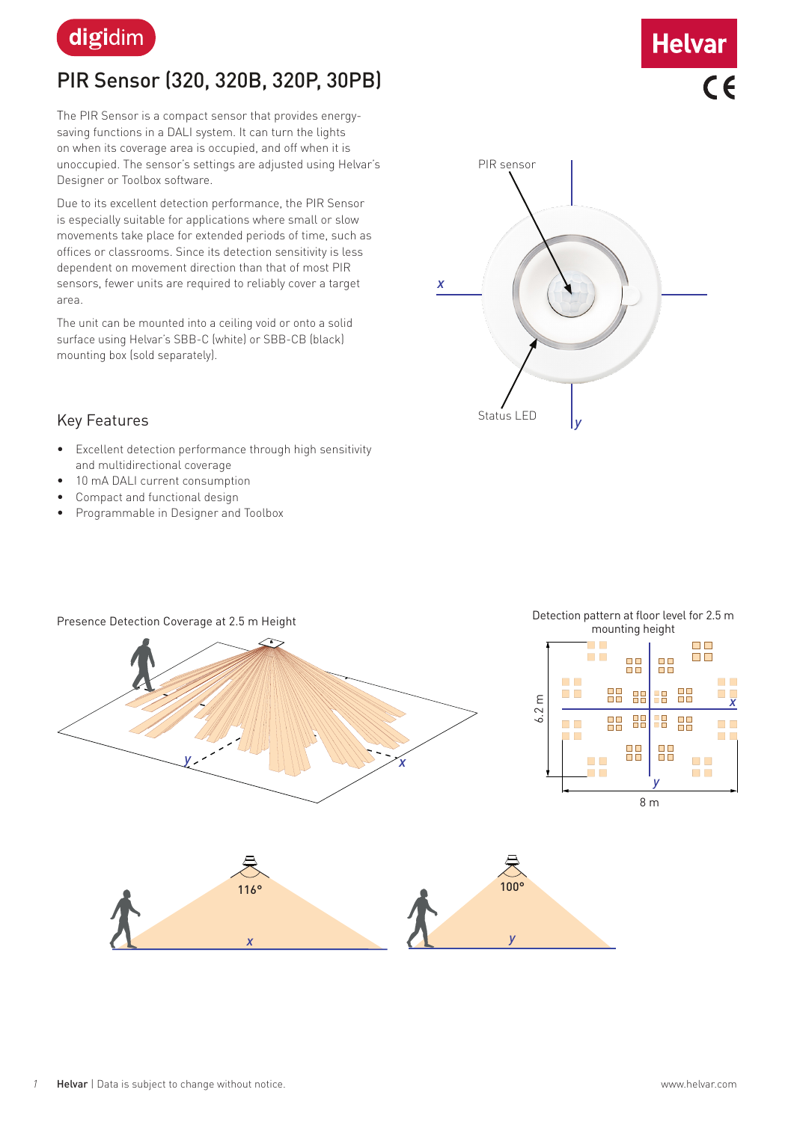

## PIR Sensor (320, 320B, 320P, 30PB)

The PIR Sensor is a compact sensor that provides energysaving functions in a DALI system. It can turn the lights on when its coverage area is occupied, and off when it is unoccupied. The sensor's settings are adjusted using Helvar's Designer or Toolbox software.

Due to its excellent detection performance, the PIR Sensor is especially suitable for applications where small or slow movements take place for extended periods of time, such as offices or classrooms. Since its detection sensitivity is less dependent on movement direction than that of most PIR sensors, fewer units are required to reliably cover a target area.

The unit can be mounted into a ceiling void or onto a solid surface using Helvar's SBB-C (white) or SBB-CB (black) mounting box (sold separately).



**Helvar** 

 $\overline{6}$ 

#### Key Features

- Excellent detection performance through high sensitivity and multidirectional coverage
- 10 mA DALI current consumption
- Compact and functional design
- Programmable in Designer and Toolbox